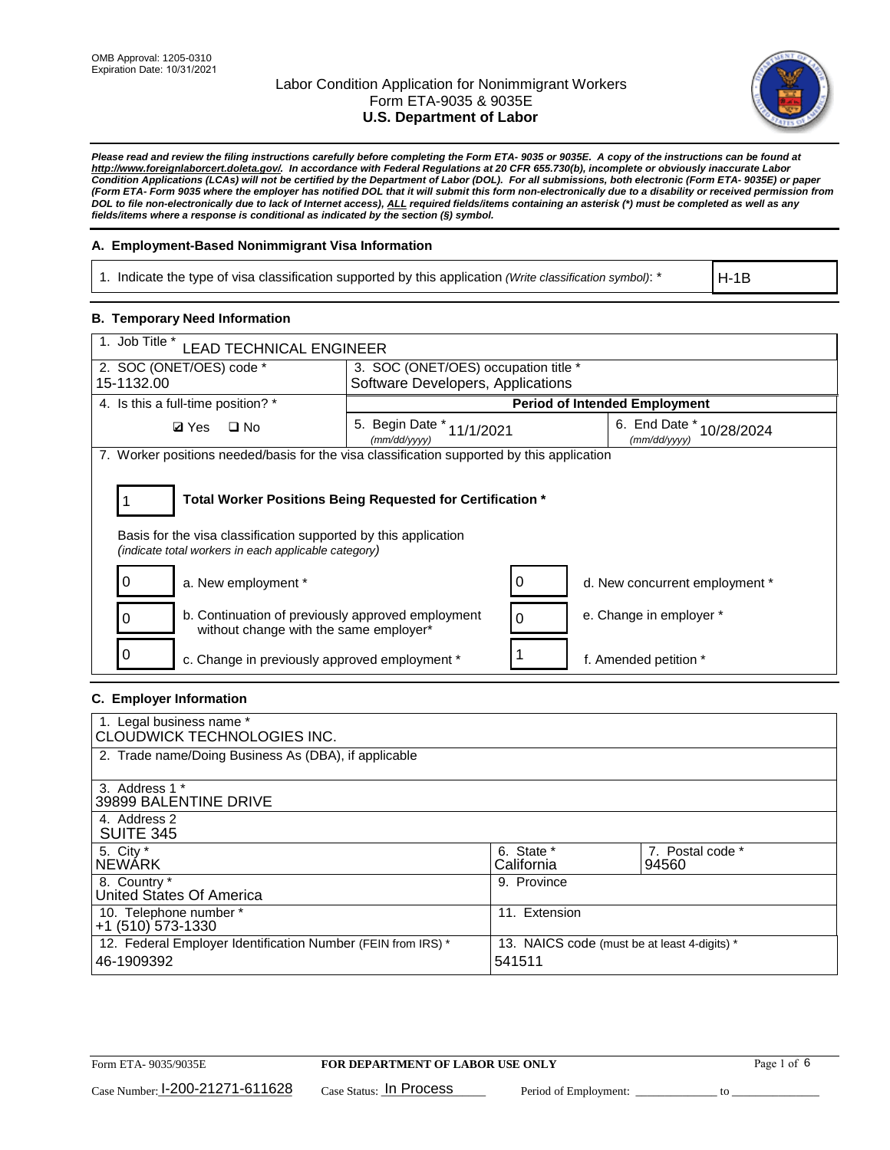

*Please read and review the filing instructions carefully before completing the Form ETA- 9035 or 9035E. A copy of the instructions can be found at [http://www.foreignlaborcert.doleta.gov/.](http://www.foreignlaborcert.doleta.gov/) In accordance with Federal Regulations at 20 CFR 655.730(b), incomplete or obviously inaccurate Labor Condition Applications (LCAs) will not be certified by the Department of Labor (DOL). For all submissions, both electronic (Form ETA- 9035E) or paper (Form ETA- Form 9035 where the employer has notified DOL that it will submit this form non-electronically due to a disability or received permission from DOL to file non-electronically due to lack of Internet access), ALL required fields/items containing an asterisk (\*) must be completed as well as any fields/items where a response is conditional as indicated by the section (§) symbol.* 

### **A. Employment-Based Nonimmigrant Visa Information**

1. Indicate the type of visa classification supported by this application *(Write classification symbol)*: \*

H-1B

### **B. Temporary Need Information**

| 1. Job Title *<br><b>LEAD TECHNICAL ENGINEER</b>                                                                                                                                      |                                           |                                      |                                          |  |  |  |
|---------------------------------------------------------------------------------------------------------------------------------------------------------------------------------------|-------------------------------------------|--------------------------------------|------------------------------------------|--|--|--|
| 2. SOC (ONET/OES) code *<br>3. SOC (ONET/OES) occupation title *                                                                                                                      |                                           |                                      |                                          |  |  |  |
| 15-1132.00                                                                                                                                                                            | Software Developers, Applications         |                                      |                                          |  |  |  |
| 4. Is this a full-time position? *                                                                                                                                                    |                                           | <b>Period of Intended Employment</b> |                                          |  |  |  |
| <b>Ø</b> Yes<br>$\Box$ No                                                                                                                                                             | 5. Begin Date * 11/1/2021<br>(mm/dd/yyyy) |                                      | 6. End Date * 10/28/2024<br>(mm/dd/vvvv) |  |  |  |
| 7. Worker positions needed/basis for the visa classification supported by this application                                                                                            |                                           |                                      |                                          |  |  |  |
| Total Worker Positions Being Requested for Certification *<br>Basis for the visa classification supported by this application<br>(indicate total workers in each applicable category) |                                           |                                      |                                          |  |  |  |
| a. New employment *<br>O                                                                                                                                                              |                                           | 0                                    | d. New concurrent employment *           |  |  |  |
| b. Continuation of previously approved employment<br>without change with the same employer*                                                                                           |                                           | 0                                    | e. Change in employer *                  |  |  |  |
| c. Change in previously approved employment *                                                                                                                                         |                                           |                                      | f. Amended petition *                    |  |  |  |

### **C. Employer Information**

| 1. Legal business name *<br>CLOUDWICK TECHNOLOGIES INC.                    |                                                        |                           |
|----------------------------------------------------------------------------|--------------------------------------------------------|---------------------------|
| 2. Trade name/Doing Business As (DBA), if applicable                       |                                                        |                           |
| 3. Address 1 *<br>39899 BALENTINE DRIVE                                    |                                                        |                           |
| 4. Address 2<br><b>SUITE 345</b>                                           |                                                        |                           |
| 5. City *<br><b>NEWARK</b>                                                 | 6. State *<br>California                               | 7. Postal code *<br>94560 |
| 8. Country *<br>United States Of America                                   | 9. Province                                            |                           |
| 10. Telephone number *<br>$+1$ (510) 573-1330                              | 11. Extension                                          |                           |
| 12. Federal Employer Identification Number (FEIN from IRS) *<br>46-1909392 | 13. NAICS code (must be at least 4-digits) *<br>541511 |                           |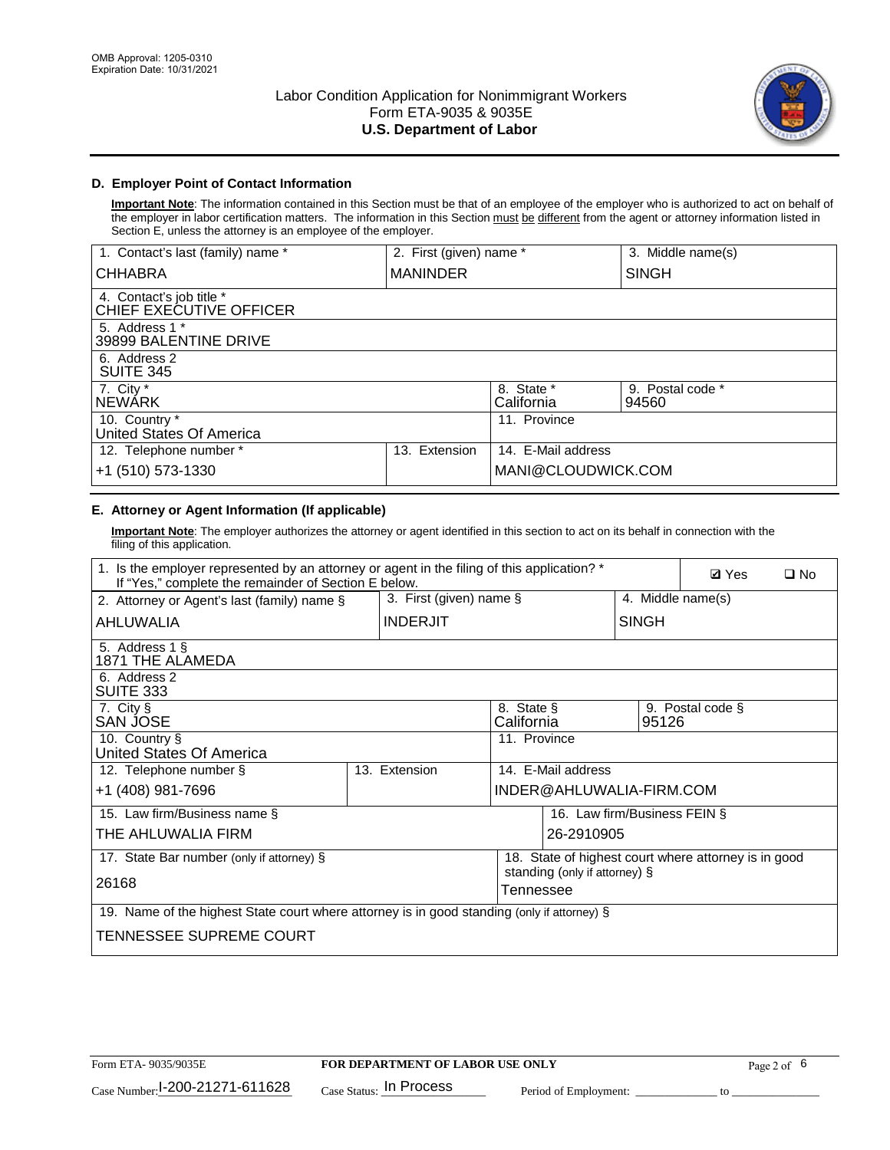

## **D. Employer Point of Contact Information**

**Important Note**: The information contained in this Section must be that of an employee of the employer who is authorized to act on behalf of the employer in labor certification matters. The information in this Section must be different from the agent or attorney information listed in Section E, unless the attorney is an employee of the employer.

| 1. Contact's last (family) name *                   | 2. First (given) name * |                          | 3. Middle name(s)         |
|-----------------------------------------------------|-------------------------|--------------------------|---------------------------|
| <b>CHHABRA</b>                                      | <b>MANINDER</b>         |                          | <b>SINGH</b>              |
| 4. Contact's job title *<br>CHIEF EXECUTIVE OFFICER |                         |                          |                           |
| 5. Address 1 *<br>39899 BALENTINE DRIVE             |                         |                          |                           |
| 6. Address 2<br><b>SUITE 345</b>                    |                         |                          |                           |
| 7. City *<br><b>NEWÁRK</b>                          |                         | 8. State *<br>California | 9. Postal code *<br>94560 |
| 10. Country *<br>United States Of America           |                         | 11. Province             |                           |
| 12. Telephone number *                              | Extension<br>13.        | 14. E-Mail address       |                           |
| +1 (510) 573-1330                                   |                         | MANI@CLOUDWICK.COM       |                           |

## **E. Attorney or Agent Information (If applicable)**

**Important Note**: The employer authorizes the attorney or agent identified in this section to act on its behalf in connection with the filing of this application.

| 1. Is the employer represented by an attorney or agent in the filing of this application? *<br>If "Yes," complete the remainder of Section E below. |  |                 |                                                 |                               | <b>Ø</b> Yes<br>$\square$ No |                                                      |  |
|-----------------------------------------------------------------------------------------------------------------------------------------------------|--|-----------------|-------------------------------------------------|-------------------------------|------------------------------|------------------------------------------------------|--|
| 2. Attorney or Agent's last (family) name §                                                                                                         |  |                 | 3. First (given) name $\S$<br>4. Middle name(s) |                               |                              |                                                      |  |
| AHLUWALIA                                                                                                                                           |  | <b>INDERJIT</b> |                                                 |                               | <b>SINGH</b>                 |                                                      |  |
| 5. Address 1 §<br>1871 THE ALAMEDA                                                                                                                  |  |                 |                                                 |                               |                              |                                                      |  |
| 6. Address 2<br>SUITE 333                                                                                                                           |  |                 |                                                 |                               |                              |                                                      |  |
| 7. City §<br>SAN JOSE                                                                                                                               |  |                 | 8. State §<br>California                        |                               | 95126                        | 9. Postal code §                                     |  |
| 10. Country §<br>United States Of America                                                                                                           |  |                 | 11. Province                                    |                               |                              |                                                      |  |
| 12. Telephone number §                                                                                                                              |  | 13. Extension   |                                                 | 14. E-Mail address            |                              |                                                      |  |
| +1 (408) 981-7696                                                                                                                                   |  |                 |                                                 | INDER@AHLUWALIA-FIRM.COM      |                              |                                                      |  |
| 15. Law firm/Business name §                                                                                                                        |  |                 |                                                 |                               | 16. Law firm/Business FEIN § |                                                      |  |
| THE AHLUWALIA FIRM                                                                                                                                  |  |                 |                                                 | 26-2910905                    |                              |                                                      |  |
| 17. State Bar number (only if attorney) §                                                                                                           |  |                 |                                                 | standing (only if attorney) § |                              | 18. State of highest court where attorney is in good |  |
| 26168                                                                                                                                               |  |                 | Tennessee                                       |                               |                              |                                                      |  |
| 19. Name of the highest State court where attorney is in good standing (only if attorney) §                                                         |  |                 |                                                 |                               |                              |                                                      |  |
| TENNESSEE SUPREME COURT                                                                                                                             |  |                 |                                                 |                               |                              |                                                      |  |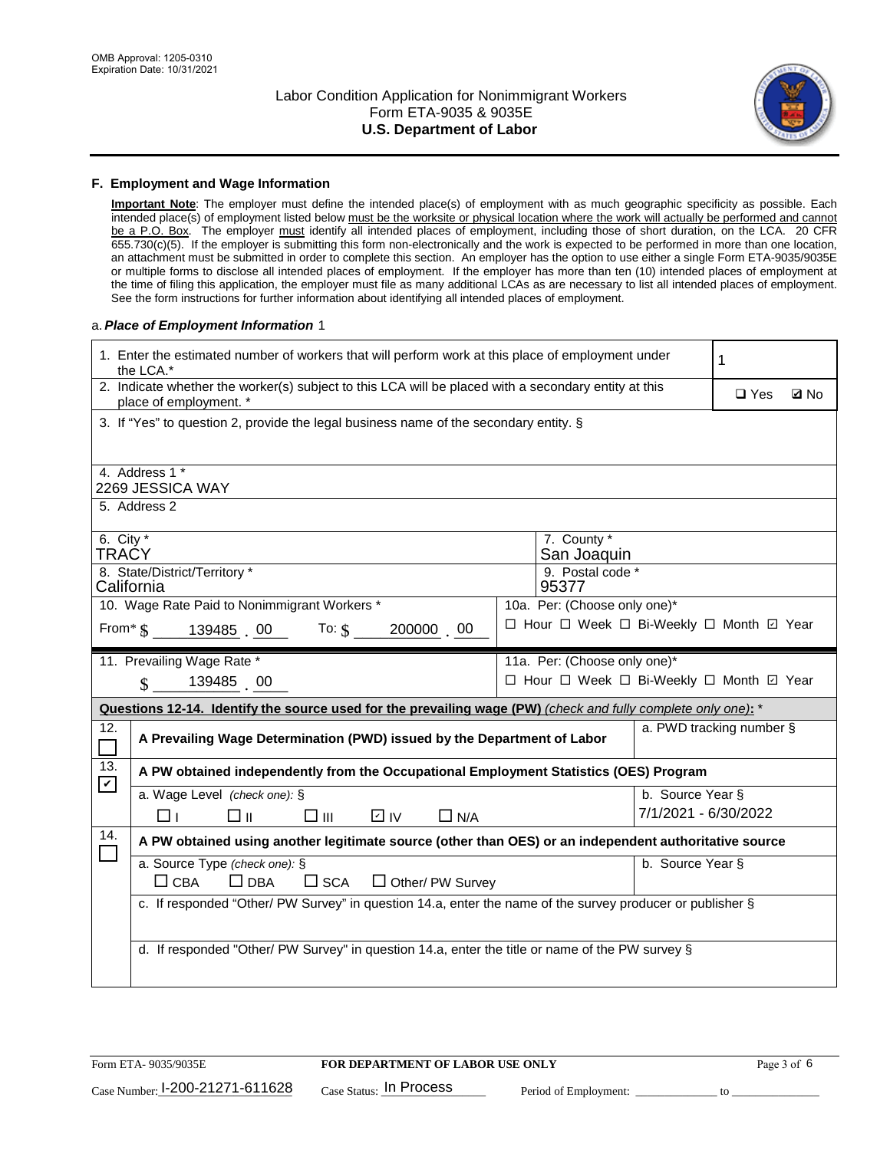

#### **F. Employment and Wage Information**

**Important Note**: The employer must define the intended place(s) of employment with as much geographic specificity as possible. Each intended place(s) of employment listed below must be the worksite or physical location where the work will actually be performed and cannot be a P.O. Box. The employer must identify all intended places of employment, including those of short duration, on the LCA. 20 CFR 655.730(c)(5). If the employer is submitting this form non-electronically and the work is expected to be performed in more than one location, an attachment must be submitted in order to complete this section. An employer has the option to use either a single Form ETA-9035/9035E or multiple forms to disclose all intended places of employment. If the employer has more than ten (10) intended places of employment at the time of filing this application, the employer must file as many additional LCAs as are necessary to list all intended places of employment. See the form instructions for further information about identifying all intended places of employment.

### a.*Place of Employment Information* 1

| 1. Enter the estimated number of workers that will perform work at this place of employment under<br>the LCA.*                 |                                                                                                               |  |                                          |                          |  |             |  |  |
|--------------------------------------------------------------------------------------------------------------------------------|---------------------------------------------------------------------------------------------------------------|--|------------------------------------------|--------------------------|--|-------------|--|--|
| 2. Indicate whether the worker(s) subject to this LCA will be placed with a secondary entity at this<br>place of employment. * |                                                                                                               |  |                                          |                          |  | <b>Z</b> No |  |  |
|                                                                                                                                | 3. If "Yes" to question 2, provide the legal business name of the secondary entity. §                         |  |                                          |                          |  |             |  |  |
|                                                                                                                                | 4. Address 1 *<br>2269 JESSICA WAY                                                                            |  |                                          |                          |  |             |  |  |
|                                                                                                                                | 5. Address 2                                                                                                  |  |                                          |                          |  |             |  |  |
| 6. City $*$<br>TRAČY                                                                                                           |                                                                                                               |  | 7. County *<br>San Joaquin               |                          |  |             |  |  |
|                                                                                                                                | 8. State/District/Territory *<br>California                                                                   |  | 9. Postal code *<br>95377                |                          |  |             |  |  |
|                                                                                                                                | 10. Wage Rate Paid to Nonimmigrant Workers *                                                                  |  | 10a. Per: (Choose only one)*             |                          |  |             |  |  |
|                                                                                                                                | From $\text{\$}$ 139485 00 To: $\text{\$}$<br>200000 00                                                       |  | □ Hour □ Week □ Bi-Weekly □ Month ☑ Year |                          |  |             |  |  |
|                                                                                                                                | 11. Prevailing Wage Rate *                                                                                    |  | 11a. Per: (Choose only one)*             |                          |  |             |  |  |
|                                                                                                                                | 139485 00<br>$\mathbf{s}$                                                                                     |  | □ Hour □ Week □ Bi-Weekly □ Month ☑ Year |                          |  |             |  |  |
|                                                                                                                                | Questions 12-14. Identify the source used for the prevailing wage (PW) (check and fully complete only one): * |  |                                          |                          |  |             |  |  |
| 12.                                                                                                                            | A Prevailing Wage Determination (PWD) issued by the Department of Labor                                       |  |                                          | a. PWD tracking number § |  |             |  |  |
| 13.<br>$\blacktriangledown$                                                                                                    | A PW obtained independently from the Occupational Employment Statistics (OES) Program                         |  |                                          |                          |  |             |  |  |
|                                                                                                                                | a. Wage Level (check one): §                                                                                  |  |                                          | b. Source Year §         |  |             |  |  |
|                                                                                                                                | $\square$ $\square$<br>D IV<br>□⊪<br>$\Box$ N/A<br>l 11                                                       |  |                                          | 7/1/2021 - 6/30/2022     |  |             |  |  |
| 14.                                                                                                                            | A PW obtained using another legitimate source (other than OES) or an independent authoritative source         |  |                                          |                          |  |             |  |  |
|                                                                                                                                | a. Source Type (check one): §<br>$\Box$ CBA<br>$\Box$ DBA<br>$\square$ SCA<br>$\Box$ Other/ PW Survey         |  |                                          | b. Source Year §         |  |             |  |  |
|                                                                                                                                | c. If responded "Other/ PW Survey" in question 14.a, enter the name of the survey producer or publisher §     |  |                                          |                          |  |             |  |  |
|                                                                                                                                | d. If responded "Other/ PW Survey" in question 14.a, enter the title or name of the PW survey §               |  |                                          |                          |  |             |  |  |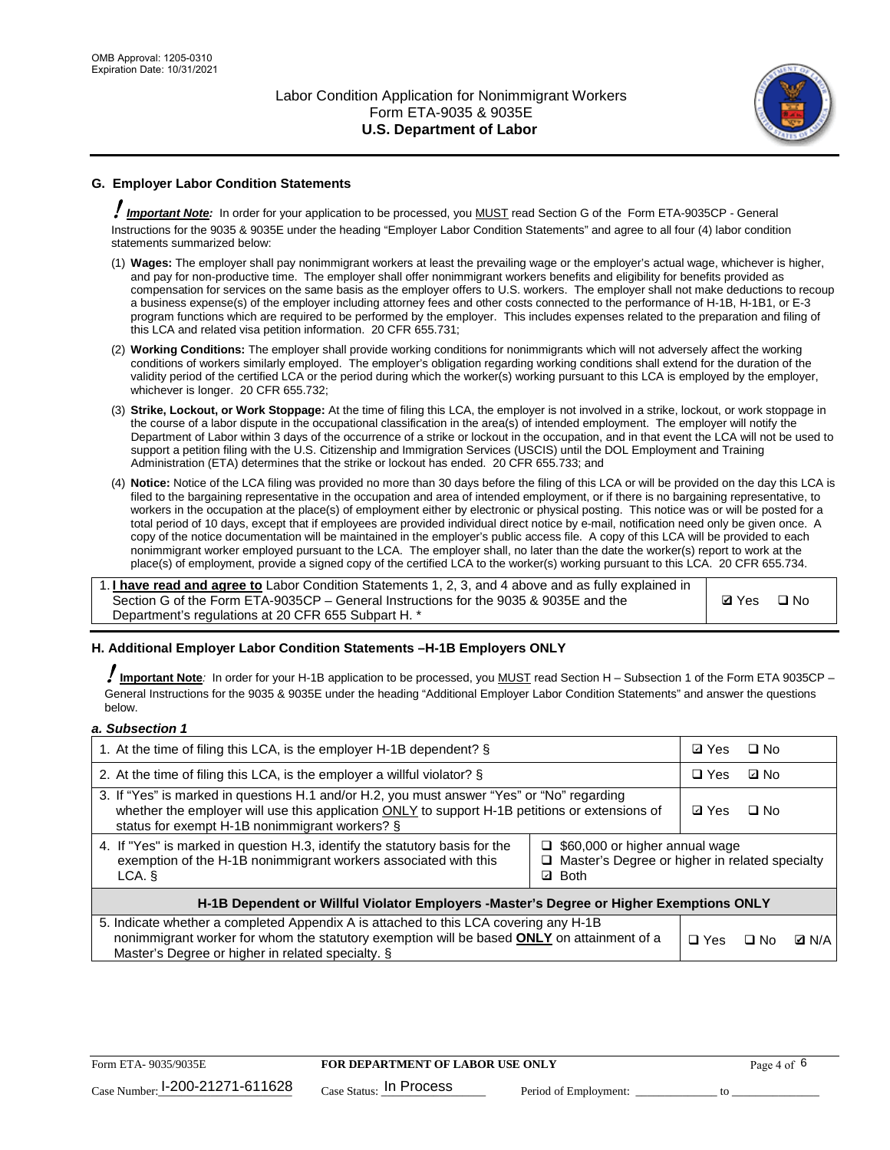

## **G. Employer Labor Condition Statements**

! *Important Note:* In order for your application to be processed, you MUST read Section G of the Form ETA-9035CP - General Instructions for the 9035 & 9035E under the heading "Employer Labor Condition Statements" and agree to all four (4) labor condition statements summarized below:

- (1) **Wages:** The employer shall pay nonimmigrant workers at least the prevailing wage or the employer's actual wage, whichever is higher, and pay for non-productive time. The employer shall offer nonimmigrant workers benefits and eligibility for benefits provided as compensation for services on the same basis as the employer offers to U.S. workers. The employer shall not make deductions to recoup a business expense(s) of the employer including attorney fees and other costs connected to the performance of H-1B, H-1B1, or E-3 program functions which are required to be performed by the employer. This includes expenses related to the preparation and filing of this LCA and related visa petition information. 20 CFR 655.731;
- (2) **Working Conditions:** The employer shall provide working conditions for nonimmigrants which will not adversely affect the working conditions of workers similarly employed. The employer's obligation regarding working conditions shall extend for the duration of the validity period of the certified LCA or the period during which the worker(s) working pursuant to this LCA is employed by the employer, whichever is longer. 20 CFR 655.732;
- (3) **Strike, Lockout, or Work Stoppage:** At the time of filing this LCA, the employer is not involved in a strike, lockout, or work stoppage in the course of a labor dispute in the occupational classification in the area(s) of intended employment. The employer will notify the Department of Labor within 3 days of the occurrence of a strike or lockout in the occupation, and in that event the LCA will not be used to support a petition filing with the U.S. Citizenship and Immigration Services (USCIS) until the DOL Employment and Training Administration (ETA) determines that the strike or lockout has ended. 20 CFR 655.733; and
- (4) **Notice:** Notice of the LCA filing was provided no more than 30 days before the filing of this LCA or will be provided on the day this LCA is filed to the bargaining representative in the occupation and area of intended employment, or if there is no bargaining representative, to workers in the occupation at the place(s) of employment either by electronic or physical posting. This notice was or will be posted for a total period of 10 days, except that if employees are provided individual direct notice by e-mail, notification need only be given once. A copy of the notice documentation will be maintained in the employer's public access file. A copy of this LCA will be provided to each nonimmigrant worker employed pursuant to the LCA. The employer shall, no later than the date the worker(s) report to work at the place(s) of employment, provide a signed copy of the certified LCA to the worker(s) working pursuant to this LCA. 20 CFR 655.734.

1. **I have read and agree to** Labor Condition Statements 1, 2, 3, and 4 above and as fully explained in Section G of the Form ETA-9035CP – General Instructions for the 9035 & 9035E and the Department's regulations at 20 CFR 655 Subpart H. \*

**Ø**Yes ロNo

### **H. Additional Employer Labor Condition Statements –H-1B Employers ONLY**

!**Important Note***:* In order for your H-1B application to be processed, you MUST read Section H – Subsection 1 of the Form ETA 9035CP – General Instructions for the 9035 & 9035E under the heading "Additional Employer Labor Condition Statements" and answer the questions below.

#### *a. Subsection 1*

| 1. At the time of filing this LCA, is the employer H-1B dependent? §                                                                                                                                                                           | ⊡ Yes                                                                                                         | □ No |           |              |
|------------------------------------------------------------------------------------------------------------------------------------------------------------------------------------------------------------------------------------------------|---------------------------------------------------------------------------------------------------------------|------|-----------|--------------|
| 2. At the time of filing this LCA, is the employer a willful violator? $\S$                                                                                                                                                                    |                                                                                                               |      | ⊡ No      |              |
| 3. If "Yes" is marked in questions H.1 and/or H.2, you must answer "Yes" or "No" regarding<br>whether the employer will use this application ONLY to support H-1B petitions or extensions of<br>status for exempt H-1B nonimmigrant workers? § |                                                                                                               |      | $\Box$ No |              |
| 4. If "Yes" is marked in question H.3, identify the statutory basis for the<br>exemption of the H-1B nonimmigrant workers associated with this<br>LCA.                                                                                         | $\Box$ \$60,000 or higher annual wage<br>□ Master's Degree or higher in related specialty<br><b>Both</b><br>☑ |      |           |              |
| H-1B Dependent or Willful Violator Employers -Master's Degree or Higher Exemptions ONLY                                                                                                                                                        |                                                                                                               |      |           |              |
| 5. Indicate whether a completed Appendix A is attached to this LCA covering any H-1B<br>nonimmigrant worker for whom the statutory exemption will be based <b>ONLY</b> on attainment of a<br>Master's Degree or higher in related specialty. § |                                                                                                               |      | ⊟ No      | <b>D</b> N/A |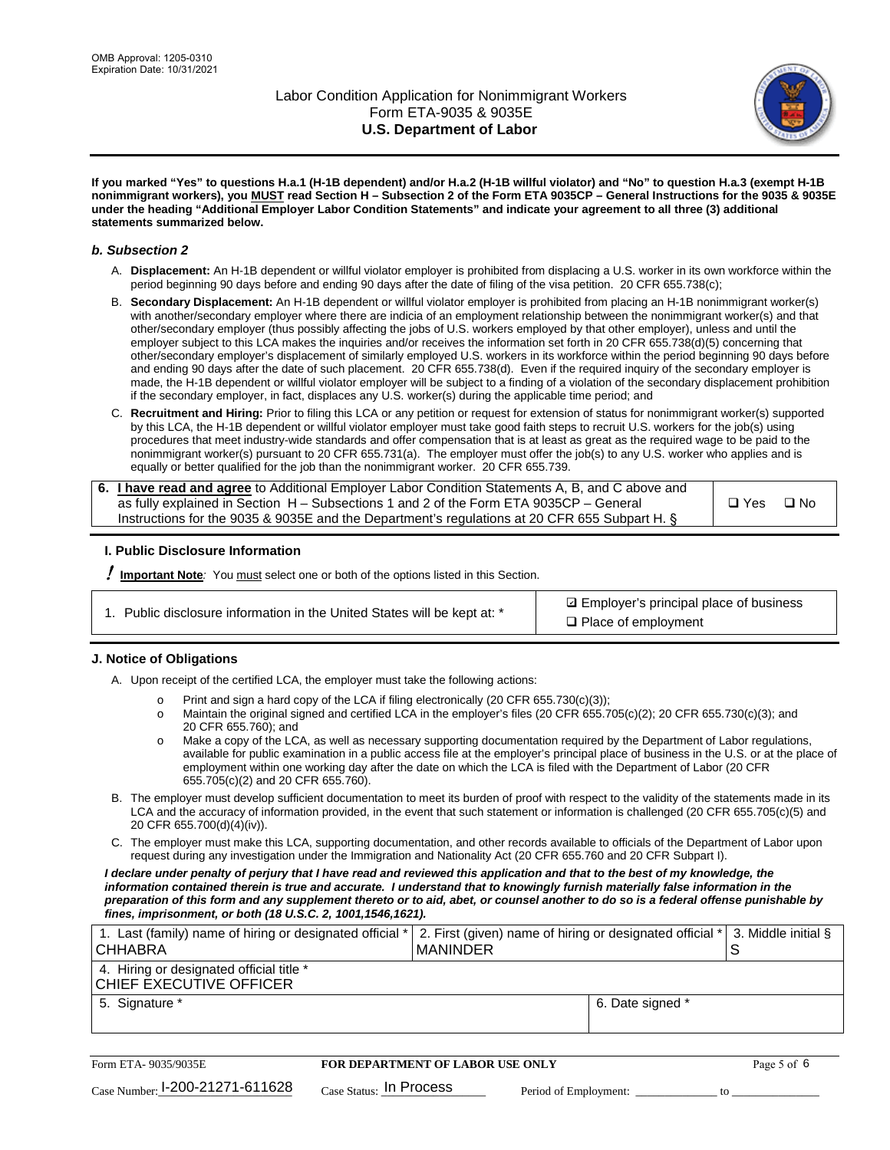

**If you marked "Yes" to questions H.a.1 (H-1B dependent) and/or H.a.2 (H-1B willful violator) and "No" to question H.a.3 (exempt H-1B nonimmigrant workers), you MUST read Section H – Subsection 2 of the Form ETA 9035CP – General Instructions for the 9035 & 9035E under the heading "Additional Employer Labor Condition Statements" and indicate your agreement to all three (3) additional statements summarized below.**

#### *b. Subsection 2*

- A. **Displacement:** An H-1B dependent or willful violator employer is prohibited from displacing a U.S. worker in its own workforce within the period beginning 90 days before and ending 90 days after the date of filing of the visa petition. 20 CFR 655.738(c);
- B. **Secondary Displacement:** An H-1B dependent or willful violator employer is prohibited from placing an H-1B nonimmigrant worker(s) with another/secondary employer where there are indicia of an employment relationship between the nonimmigrant worker(s) and that other/secondary employer (thus possibly affecting the jobs of U.S. workers employed by that other employer), unless and until the employer subject to this LCA makes the inquiries and/or receives the information set forth in 20 CFR 655.738(d)(5) concerning that other/secondary employer's displacement of similarly employed U.S. workers in its workforce within the period beginning 90 days before and ending 90 days after the date of such placement. 20 CFR 655.738(d). Even if the required inquiry of the secondary employer is made, the H-1B dependent or willful violator employer will be subject to a finding of a violation of the secondary displacement prohibition if the secondary employer, in fact, displaces any U.S. worker(s) during the applicable time period; and
- C. **Recruitment and Hiring:** Prior to filing this LCA or any petition or request for extension of status for nonimmigrant worker(s) supported by this LCA, the H-1B dependent or willful violator employer must take good faith steps to recruit U.S. workers for the job(s) using procedures that meet industry-wide standards and offer compensation that is at least as great as the required wage to be paid to the nonimmigrant worker(s) pursuant to 20 CFR 655.731(a). The employer must offer the job(s) to any U.S. worker who applies and is equally or better qualified for the job than the nonimmigrant worker. 20 CFR 655.739.

| 6. I have read and agree to Additional Employer Labor Condition Statements A, B, and C above and |       |           |
|--------------------------------------------------------------------------------------------------|-------|-----------|
| as fully explained in Section H – Subsections 1 and 2 of the Form ETA 9035CP – General           | □ Yes | $\Box$ No |
| Instructions for the 9035 & 9035E and the Department's regulations at 20 CFR 655 Subpart H. §    |       |           |

### **I. Public Disclosure Information**

! **Important Note***:* You must select one or both of the options listed in this Section.

| 1. Public disclosure information in the United States will be kept at: * |
|--------------------------------------------------------------------------|
|--------------------------------------------------------------------------|

**sqrt** Employer's principal place of business □ Place of employment

### **J. Notice of Obligations**

A. Upon receipt of the certified LCA, the employer must take the following actions:

- o Print and sign a hard copy of the LCA if filing electronically (20 CFR 655.730(c)(3));<br>
Maintain the original signed and certified LCA in the employer's files (20 CFR 655.7
- Maintain the original signed and certified LCA in the employer's files (20 CFR 655.705(c)(2); 20 CFR 655.730(c)(3); and 20 CFR 655.760); and
- o Make a copy of the LCA, as well as necessary supporting documentation required by the Department of Labor regulations, available for public examination in a public access file at the employer's principal place of business in the U.S. or at the place of employment within one working day after the date on which the LCA is filed with the Department of Labor (20 CFR 655.705(c)(2) and 20 CFR 655.760).
- B. The employer must develop sufficient documentation to meet its burden of proof with respect to the validity of the statements made in its LCA and the accuracy of information provided, in the event that such statement or information is challenged (20 CFR 655.705(c)(5) and 20 CFR 655.700(d)(4)(iv)).
- C. The employer must make this LCA, supporting documentation, and other records available to officials of the Department of Labor upon request during any investigation under the Immigration and Nationality Act (20 CFR 655.760 and 20 CFR Subpart I).

*I declare under penalty of perjury that I have read and reviewed this application and that to the best of my knowledge, the*  information contained therein is true and accurate. I understand that to knowingly furnish materially false information in the *preparation of this form and any supplement thereto or to aid, abet, or counsel another to do so is a federal offense punishable by fines, imprisonment, or both (18 U.S.C. 2, 1001,1546,1621).*

| 1. Last (family) name of hiring or designated official * 2. First (given) name of hiring or designated official *   3. Middle initial §<br><b>CHHABRA</b> | <b>IMANINDER</b> |  |
|-----------------------------------------------------------------------------------------------------------------------------------------------------------|------------------|--|
| 4. Hiring or designated official title *<br>CHIEF EXECUTIVE OFFICER                                                                                       |                  |  |
| 5. Signature *                                                                                                                                            | 6. Date signed * |  |